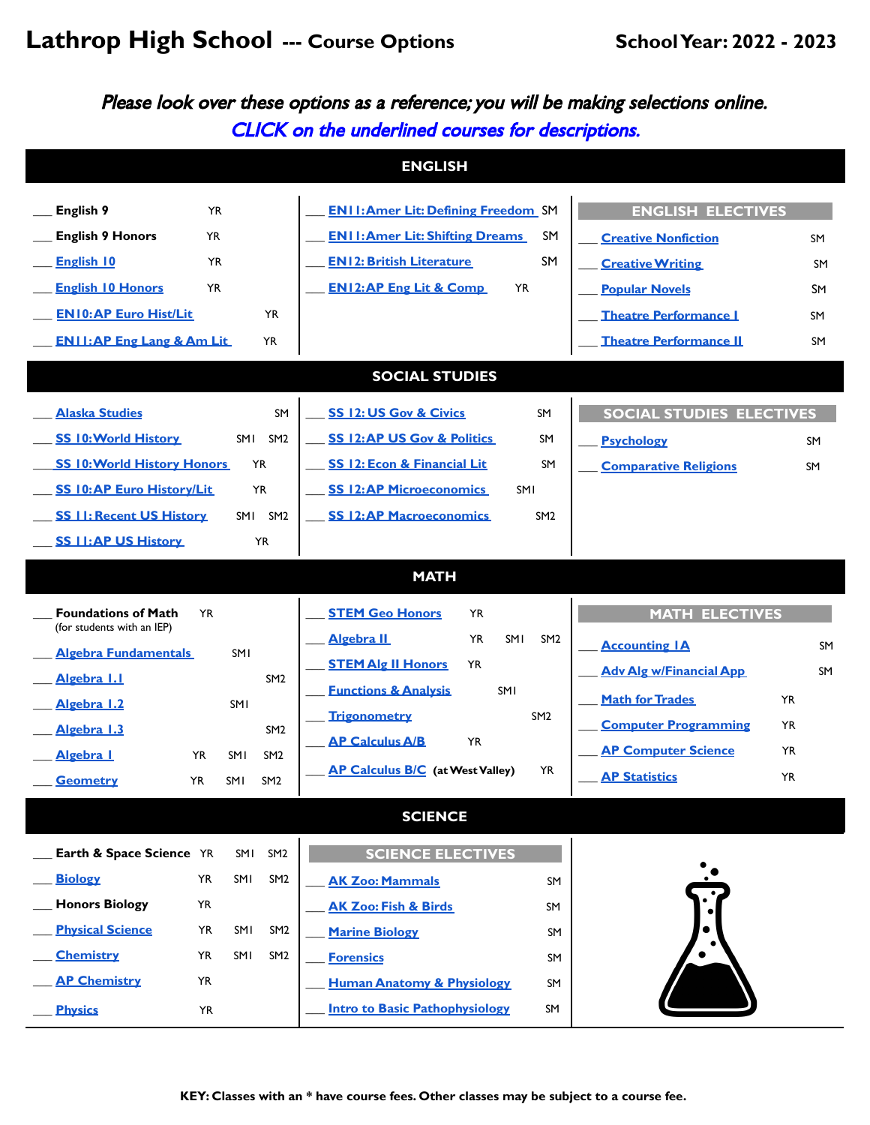## **Lathrop High School --- Course Options SchoolYear: 2022 - 2023**

Please look over these options as <sup>a</sup> reference; you will be making selections online. CLICK on the underlined courses for descriptions.

|                                                                                                                                                                                                                                                                                                       | <b>ENGLISH</b>                                                                                                                                                                                                                                                                                                                          |                                                                                                                                                                                                                                                         |  |  |  |  |  |  |  |
|-------------------------------------------------------------------------------------------------------------------------------------------------------------------------------------------------------------------------------------------------------------------------------------------------------|-----------------------------------------------------------------------------------------------------------------------------------------------------------------------------------------------------------------------------------------------------------------------------------------------------------------------------------------|---------------------------------------------------------------------------------------------------------------------------------------------------------------------------------------------------------------------------------------------------------|--|--|--|--|--|--|--|
| English 9<br><b>YR</b><br><b>English 9 Honors</b><br><b>YR</b><br><b>English 10</b><br><b>YR</b>                                                                                                                                                                                                      | <b>ENII: Amer Lit: Defining Freedom</b> SM<br><b>ENII: Amer Lit: Shifting Dreams</b><br><b>SM</b><br><b>SM</b><br><b>EN12: British Literature</b>                                                                                                                                                                                       | <b>ENGLISH ELECTIVES</b><br><b>Creative Nonfiction</b><br><b>SM</b><br><b>Creative Writing</b><br>SM                                                                                                                                                    |  |  |  |  |  |  |  |
| <b>English 10 Honors</b><br>YR<br><b>EN10:AP Euro Hist/Lit</b><br><b>YR</b><br><b>ENII: AP Eng Lang &amp; Am Lit</b><br>YR                                                                                                                                                                            | <b>EN12:AP Eng Lit &amp; Comp</b><br><b>YR</b>                                                                                                                                                                                                                                                                                          | <b>Popular Novels</b><br>SΜ<br><b>Theatre Performance I</b><br>SM<br><b>Theatre Performance II</b><br>SM                                                                                                                                                |  |  |  |  |  |  |  |
| <b>SOCIAL STUDIES</b>                                                                                                                                                                                                                                                                                 |                                                                                                                                                                                                                                                                                                                                         |                                                                                                                                                                                                                                                         |  |  |  |  |  |  |  |
| <b>Alaska Studies</b><br><b>SM</b><br><b>SS 10: World History</b><br>SM <sub>2</sub><br>SMI<br><b>SS 10: World History Honors</b><br><b>YR</b><br><b>SS 10:AP Euro History/Lit</b><br><b>YR</b><br><b>SS II: Recent US History</b><br>SM <sub>2</sub><br>SMI<br><b>SS I I:AP US History</b><br>YR     | <b>SS 12: US Gov &amp; Civics</b><br>SM<br><b>SS 12:AP US Gov &amp; Politics</b><br><b>SM</b><br>SS 12: Econ & Financial Lit<br>SM<br><b>SS 12:AP Microeconomics</b><br><b>SMI</b><br><b>SS 12:AP Macroeconomics</b><br>SM <sub>2</sub>                                                                                                 | <b>SOCIAL STUDIES ELECTIVES</b><br><b>Psychology</b><br>SM<br><b>Comparative Religions</b><br>SM                                                                                                                                                        |  |  |  |  |  |  |  |
|                                                                                                                                                                                                                                                                                                       | <b>MATH</b>                                                                                                                                                                                                                                                                                                                             |                                                                                                                                                                                                                                                         |  |  |  |  |  |  |  |
| <b>Foundations of Math</b><br><b>YR</b><br>(for students with an IEP)<br><b>Algebra Fundamentals</b><br>SMI<br>Algebra 1.1<br>SM <sub>2</sub><br>Algebra 1.2<br>SMI<br>Algebra 1.3<br>SM <sub>2</sub><br>Algebra I<br>SMI<br>YR<br>SM <sub>2</sub><br><b>Geometry</b><br>YR<br>SMI<br>SM <sub>2</sub> | <b>STEM Geo Honors</b><br>YR<br><b>Algebra IL</b><br><b>YR</b><br><b>SMI</b><br>SM <sub>2</sub><br><b>STEM Alg II Honors</b><br><b>YR</b><br><b>Functions &amp; Analysis</b><br>SMI<br><b>Trigonometry</b><br>SM <sub>2</sub><br><b>AP Calculus A/B</b><br><b>YR</b><br>AP Calculus B/C (at West Valley)<br><b>YR</b><br><b>SCIENCE</b> | <b>MATH ELECTIVES</b><br><b>Accounting IA</b><br>SM<br><b>Adv Alg w/Financial App</b><br>SM<br><b>Math for Trades</b><br><b>YR</b><br><b>Computer Programming</b><br>YR<br><b>AP Computer Science</b><br><b>YR</b><br><b>AP Statistics</b><br><b>YR</b> |  |  |  |  |  |  |  |
| Earth & Space Science YR<br>SMI<br>SM <sub>2</sub><br><b>Biology</b><br>SMI<br><b>YR</b><br>SM <sub>2</sub><br><b>Honors Biology</b><br>YR<br><b>Physical Science</b><br>SMI<br>YR<br>SM <sub>2</sub><br><b>Chemistry</b><br>SMI<br>YR<br>SM <sub>2</sub><br><b>AP Chemistry</b><br>YR                | <b>SCIENCE ELECTIVES</b><br><b>AK Zoo: Mammals</b><br>SM<br><b>AK Zoo: Fish &amp; Birds</b><br>SM<br><b>Marine Biology</b><br>SM<br><b>Forensics</b><br>SM<br><b>Human Anatomy &amp; Physiology</b><br>SM<br><b>Intro to Basic Pathophysiology</b>                                                                                      |                                                                                                                                                                                                                                                         |  |  |  |  |  |  |  |